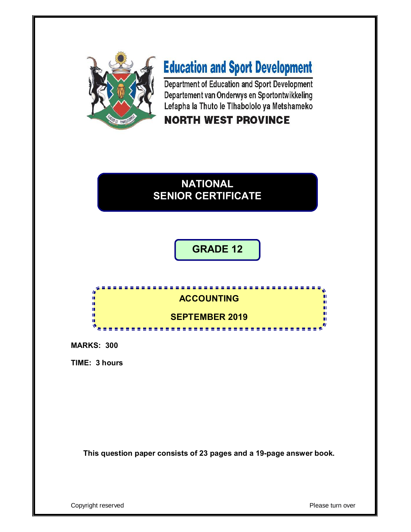

# **Education and Sport Development**

Department of Education and Sport Development Departement van Onderwys en Sportontwikkeling Lefapha la Thuto le Tihabololo ya Metshameko

# **NORTH WEST PROVINCE**

# **NATIONAL SENIOR CERTIFICATE**

**GRADE 12**

#### **ACCOUNTING** ú. IĖ, ù. п **SEPTEMBER 2019**

**MARKS: 300**

**TIME: 3 hours**

**This question paper consists of 23 pages and a 19-page answer book.**

Copyright reserved **Please turn over**  $\blacksquare$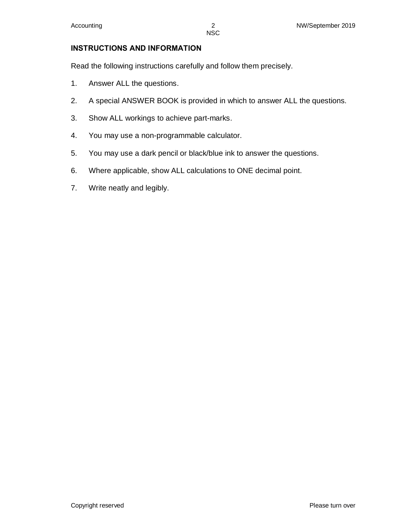#### **INSTRUCTIONS AND INFORMATION**

Read the following instructions carefully and follow them precisely.

- 1. Answer ALL the questions.
- 2. A special ANSWER BOOK is provided in which to answer ALL the questions.
- 3. Show ALL workings to achieve part-marks.
- 4. You may use a non-programmable calculator.
- 5. You may use a dark pencil or black/blue ink to answer the questions.
- 6. Where applicable, show ALL calculations to ONE decimal point.
- 7. Write neatly and legibly.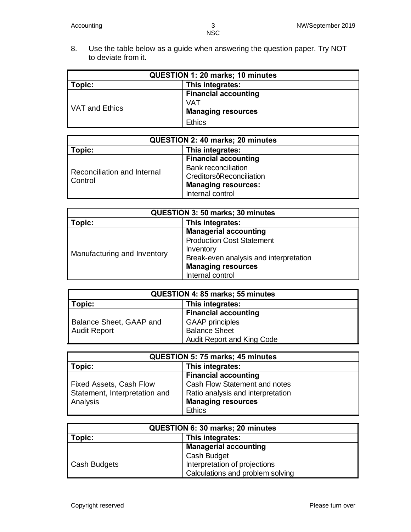8. Use the table below as a guide when answering the question paper. Try NOT to deviate from it.

| <b>QUESTION 1: 20 marks; 10 minutes</b> |                                                                 |  |  |
|-----------------------------------------|-----------------------------------------------------------------|--|--|
| This integrates:<br>Topic:              |                                                                 |  |  |
| VAT and Ethics                          | <b>Financial accounting</b><br>VAT<br><b>Managing resources</b> |  |  |
|                                         | <b>Ethics</b>                                                   |  |  |

| <b>QUESTION 2: 40 marks; 20 minutes</b> |                             |  |  |
|-----------------------------------------|-----------------------------|--|--|
| This integrates:<br>Topic:              |                             |  |  |
| Reconciliation and Internal<br>Control  | <b>Financial accounting</b> |  |  |
|                                         | <b>Bank reconciliation</b>  |  |  |
|                                         | CreditorsqReconciliation    |  |  |
|                                         | <b>Managing resources:</b>  |  |  |
|                                         | Internal control            |  |  |

| <b>QUESTION 3: 50 marks; 30 minutes</b> |                                        |  |  |
|-----------------------------------------|----------------------------------------|--|--|
| This integrates:<br>Topic:              |                                        |  |  |
|                                         | <b>Managerial accounting</b>           |  |  |
| Manufacturing and Inventory             | <b>Production Cost Statement</b>       |  |  |
|                                         | Inventory                              |  |  |
|                                         | Break-even analysis and interpretation |  |  |
|                                         | <b>Managing resources</b>              |  |  |
|                                         | Internal control                       |  |  |

| <b>QUESTION 4: 85 marks; 55 minutes</b> |                             |  |  |
|-----------------------------------------|-----------------------------|--|--|
| Topic:<br>This integrates:              |                             |  |  |
|                                         | <b>Financial accounting</b> |  |  |
| Balance Sheet, GAAP and                 | <b>GAAP</b> principles      |  |  |
| <b>Audit Report</b>                     | <b>Balance Sheet</b>        |  |  |
|                                         | Audit Report and King Code  |  |  |

| <b>QUESTION 5: 75 marks; 45 minutes</b> |                                   |  |
|-----------------------------------------|-----------------------------------|--|
| Topic:                                  | This integrates:                  |  |
|                                         | <b>Financial accounting</b>       |  |
| <b>Fixed Assets, Cash Flow</b>          | Cash Flow Statement and notes     |  |
| Statement, Interpretation and           | Ratio analysis and interpretation |  |
| Analysis                                | <b>Managing resources</b>         |  |
|                                         | <b>Ethics</b>                     |  |

| <b>QUESTION 6: 30 marks; 20 minutes</b>       |                              |  |
|-----------------------------------------------|------------------------------|--|
| This integrates:<br>Topic:                    |                              |  |
|                                               | <b>Managerial accounting</b> |  |
|                                               | Cash Budget                  |  |
| Interpretation of projections<br>Cash Budgets |                              |  |
| Calculations and problem solving              |                              |  |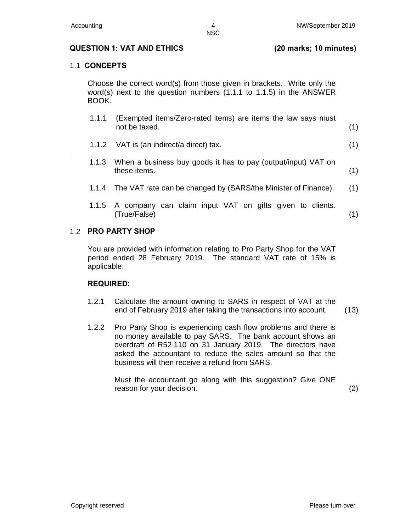**NSC** 

#### **QUESTION 1: VAT AND ETHICS (20 marks; 10 minutes)**

#### 1.1 **CONCEPTS**

Choose the correct word(s) from those given in brackets. Write only the word(s) next to the question numbers (1.1.1 to 1.1.5) in the ANSWER BOOK.

- 1.1.1 (Exempted items/Zero-rated items) are items the law says must not be taxed. (1)
- 1.1.2 VAT is (an indirect/a direct) tax. (1)
- 5.1. 4 1.1.3 When a business buy goods it has to pay (output/input) VAT on these items. (1)
	- 1.1.4 The VAT rate can be changed by (SARS/the Minister of Finance). (1)
	- 1.1.5 A company can claim input VAT on gifts given to clients. (True/False) (1)

#### 1.2 **PRO PARTY SHOP**

You are provided with information relating to Pro Party Shop for the VAT period ended 28 February 2019. The standard VAT rate of 15% is applicable.

#### **REQUIRED:**

- 1.2.1 Calculate the amount owning to SARS in respect of VAT at the end of February 2019 after taking the transactions into account. (13)
- 1.2.2 Pro Party Shop is experiencing cash flow problems and there is no money available to pay SARS. The bank account shows an overdraft of R52 110 on 31 January 2019. The directors have asked the accountant to reduce the sales amount so that the business will then receive a refund from SARS.

Must the accountant go along with this suggestion? Give ONE reason for your decision. (2)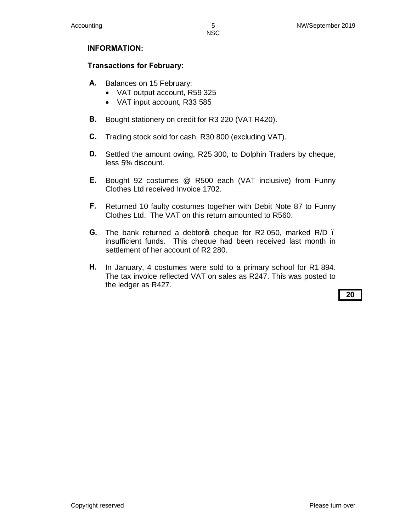#### **NSC**

#### **INFORMATION:**

#### **Transactions for February:**

- **A.** Balances on 15 February:
	- · VAT output account, R59 325
	- · VAT input account, R33 585
- **B.** Bought stationery on credit for R3 220 (VAT R420).
- **C.** Trading stock sold for cash, R30 800 (excluding VAT).
- **D.** Settled the amount owing, R25 300, to Dolphin Traders by cheque, less 5% discount.
- **E.** Bought 92 costumes @ R500 each (VAT inclusive) from Funny Clothes Ltd received Invoice 1702.
- **F.** Returned 10 faulty costumes together with Debit Note 87 to Funny Clothes Ltd. The VAT on this return amounted to R560.
- **G.** The bank returned a debtor pcheque for R2 050, marked R/D. insufficient funds. This cheque had been received last month in settlement of her account of R2 280.
- **H.** In January, 4 costumes were sold to a primary school for R1 894. The tax invoice reflected VAT on sales as R247. This was posted to the ledger as R427.

**20**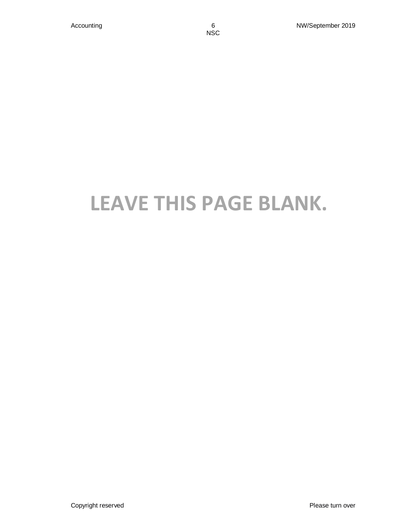# **LEAVE THIS PAGE BLANK.**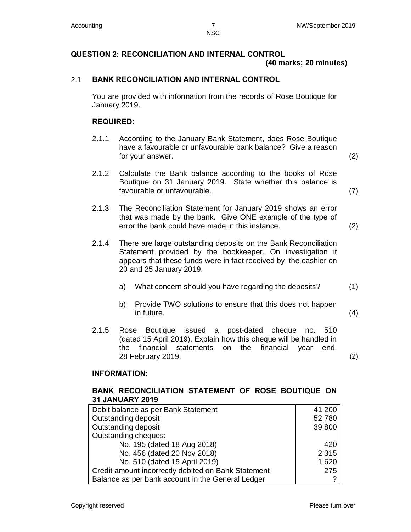## **QUESTION 2: RECONCILIATION AND INTERNAL CONTROL**

 **(40 marks; 20 minutes)** 

### 2.1 **BANK RECONCILIATION AND INTERNAL CONTROL**

You are provided with information from the records of Rose Boutique for January 2019.

#### **REQUIRED:**

- 2.1.1 According to the January Bank Statement, does Rose Boutique have a favourable or unfavourable bank balance? Give a reason for your answer. (2)
- 2.1.2 Calculate the Bank balance according to the books of Rose Boutique on 31 January 2019. State whether this balance is favourable or unfavourable. (7)
- 2.1.3 The Reconciliation Statement for January 2019 shows an error that was made by the bank. Give ONE example of the type of error the bank could have made in this instance. (2)
- 2.1.4 There are large outstanding deposits on the Bank Reconciliation Statement provided by the bookkeeper. On investigation it appears that these funds were in fact received by the cashier on 20 and 25 January 2019.
	- a) What concern should you have regarding the deposits? (1)
	- b) Provide TWO solutions to ensure that this does not happen in future. (4)
- 2.1.5 Rose Boutique issued a post-dated cheque no. 510 (dated 15 April 2019). Explain how this cheque will be handled in the financial statements on the financial year end, 28 February 2019. (2)

#### **INFORMATION:**

#### **BANK RECONCILIATION STATEMENT OF ROSE BOUTIQUE ON 31 JANUARY 2019**

| Debit balance as per Bank Statement                 | 41 200  |
|-----------------------------------------------------|---------|
| Outstanding deposit                                 | 52780   |
| Outstanding deposit                                 | 39 800  |
| Outstanding cheques:                                |         |
| No. 195 (dated 18 Aug 2018)                         | 420     |
| No. 456 (dated 20 Nov 2018)                         | 2 3 1 5 |
| No. 510 (dated 15 April 2019)                       | 1620    |
| Credit amount incorrectly debited on Bank Statement | 275     |
| Balance as per bank account in the General Ledger   |         |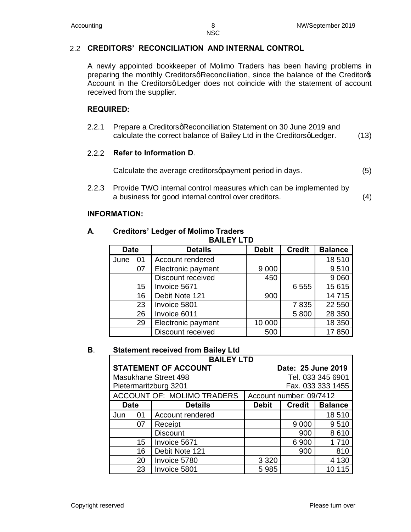#### 2.2 **CREDITORS' RECONCILIATION AND INTERNAL CONTROL**

A newly appointed bookkeeper of Molimo Traders has been having problems in preparing the monthly Creditorsq Reconciliation, since the balance of the Creditoros Account in the Creditorsq Ledger does not coincide with the statement of account received from the supplier.

#### **REQUIRED:**

2.2.1 Prepare a Creditors g Reconciliation Statement on 30 June 2019 and calculate the correct balance of Bailey Ltd in the CreditorsqLedger. (13)

#### 2.2.2 **Refer to Information D**.

Calculate the average creditors approximent period in days. (5)

2.2.3 Provide TWO internal control measures which can be implemented by a business for good internal control over creditors. (4)

#### **INFORMATION:**

#### **A**. **Creditors' Ledger of Molimo Traders BAILEY LTD**

| DAILEI LIU  |    |                          |              |               |                |
|-------------|----|--------------------------|--------------|---------------|----------------|
| <b>Date</b> |    | <b>Details</b>           | <b>Debit</b> | <b>Credit</b> | <b>Balance</b> |
| June        | 01 | Account rendered         |              |               | 18510          |
|             | 07 | Electronic payment       | 9 0 0 0      |               | 9510           |
|             |    | Discount received        | 450          |               | 9 0 6 0        |
|             | 15 | Invoice 5671             |              | 6555          | 15 615         |
|             | 16 | Debit Note 121           | 900          |               | 14715          |
|             | 23 | Invoice 5801             |              | 7835          | 22 550         |
|             | 26 | Invoice 6011             |              | 5800          | 28 350         |
|             | 29 | Electronic payment       | 10 000       |               | 18 350         |
|             |    | <b>Discount received</b> | 500          |               | 17850          |

#### **B**. **Statement received from Bailey Ltd**

| <b>BAILEY LTD</b>    |                             |                                                 |                         |                   |  |
|----------------------|-----------------------------|-------------------------------------------------|-------------------------|-------------------|--|
|                      | <b>STATEMENT OF ACCOUNT</b> |                                                 | Date: 25 June 2019      |                   |  |
| Masukhane Street 498 |                             |                                                 | Tel. 033 345 6901       |                   |  |
|                      | Pietermaritzburg 3201       |                                                 |                         | Fax. 033 333 1455 |  |
|                      | ACCOUNT OF: MOLIMO TRADERS  |                                                 | Account number: 09/7412 |                   |  |
| <b>Date</b>          | <b>Details</b>              | <b>Balance</b><br><b>Debit</b><br><b>Credit</b> |                         |                   |  |
| 01<br>Jun            | Account rendered            |                                                 |                         | 18510             |  |
| 07                   | Receipt                     |                                                 | 9 0 0 0                 | 9510              |  |
|                      | <b>Discount</b>             |                                                 | 900                     | 8610              |  |
| 15                   | Invoice 5671                |                                                 | 6900                    | 1710              |  |
| 16                   | Debit Note 121              |                                                 | 900                     | 810               |  |
| 20                   | Invoice 5780                | 3 3 2 0                                         |                         | 4 1 3 0           |  |
| 23                   | Invoice 5801                | 5985                                            |                         | 15                |  |

Copyright reserved **Please turn over**  $\blacksquare$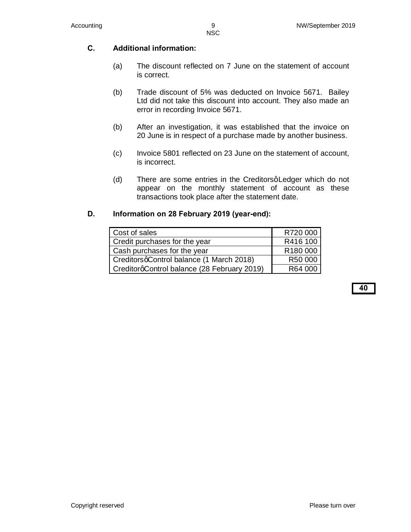### **C. Additional information:**

- (a) The discount reflected on 7 June on the statement of account is correct.
- (b) Trade discount of 5% was deducted on Invoice 5671. Bailey Ltd did not take this discount into account. They also made an error in recording Invoice 5671.
- (b) After an investigation, it was established that the invoice on 20 June is in respect of a purchase made by another business.
- (c) Invoice 5801 reflected on 23 June on the statement of account, is incorrect.
- (d) There are some entries in the Creditorsq Ledger which do not appear on the monthly statement of account as these transactions took place after the statement date.

#### **D. Information on 28 February 2019 (year-end):**

| Cost of sales                               | R720 000 |
|---------------------------------------------|----------|
| Credit purchases for the year               | R416 100 |
| Cash purchases for the year                 | R180 000 |
| CreditorsqControl balance (1 March 2018)    | R50 000  |
| CreditorgControl balance (28 February 2019) | R64 000  |

**40**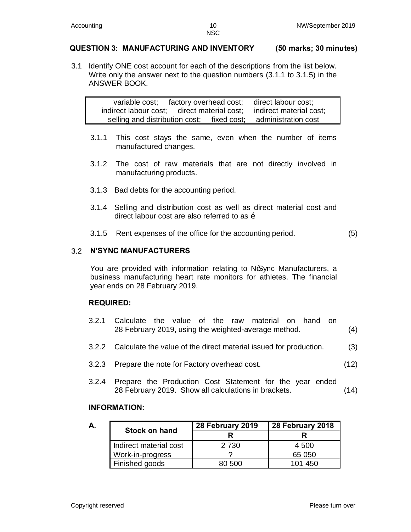#### **QUESTION 3: MANUFACTURING AND INVENTORY (50 marks; 30 minutes)**

3.1 Identify ONE cost account for each of the descriptions from the list below. Write only the answer next to the question numbers (3.1.1 to 3.1.5) in the ANSWER BOOK.

variable cost; factory overhead cost; direct labour cost; indirect labour cost; direct material cost; indirect material cost; selling and distribution cost: fixed cost: administration cost

- 3.1.1 This cost stays the same, even when the number of items manufactured changes.
- 3.1.2 The cost of raw materials that are not directly involved in manufacturing products.
- 3.1.3 Bad debts for the accounting period.
- 3.1.4 Selling and distribution cost as well as direct material cost and direct labour cost are also referred to as  $\tilde{o}$
- 3.1.5 Rent expenses of the office for the accounting period. (5)

#### 3.2 **N'SYNC MANUFACTURERS**

You are provided with information relating to No Sync Manufacturers, a business manufacturing heart rate monitors for athletes. The financial year ends on 28 February 2019.

#### **REQUIRED:**

- 3.2.1 Calculate the value of the raw material on hand on 28 February 2019, using the weighted-average method. (4)
- 3.2.2 Calculate the value of the direct material issued for production. (3)
- 3.2.3 Prepare the note for Factory overhead cost. (12)
- 3.2.4 Prepare the Production Cost Statement for the year ended 28 February 2019. Show all calculations in brackets. (14)

#### **INFORMATION:**

| А. | <b>Stock on hand</b>   | 28 February 2019 | 28 February 2018 |
|----|------------------------|------------------|------------------|
|    |                        |                  |                  |
|    | Indirect material cost | 2 7 3 0          | 4 500            |
|    | Work-in-progress       |                  | 65 050           |
|    | Finished goods         | 80 500           | 101 450          |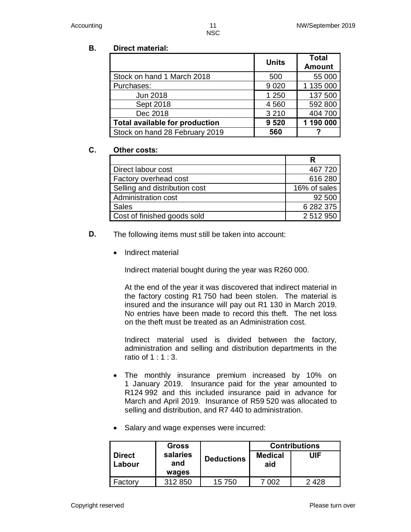# **B. Direct material:**

|                                | <b>Units</b> | <b>Total</b><br><b>Amount</b> |
|--------------------------------|--------------|-------------------------------|
| Stock on hand 1 March 2018     | 500          | 55 000                        |
| Purchases:                     | 9 0 20       | 1 135 000                     |
| Jun 2018                       | 1 250        | 137 500                       |
| Sept 2018                      | 4 5 6 0      | 592 800                       |
| Dec 2018                       | 3 2 1 0      | 404 700                       |
| Total available for production | 9 5 20       | 1 190 000                     |
| Stock on hand 28 February 2019 | 560          |                               |

#### **C. Other costs:**

| Direct labour cost            | 467720       |
|-------------------------------|--------------|
| Factory overhead cost         | 616 280      |
| Selling and distribution cost | 16% of sales |
| Administration cost           | 92 500       |
| <b>Sales</b>                  | 6 282 375    |
| Cost of finished goods sold   | 2 512 950    |

- **D.** The following items must still be taken into account:
	- · Indirect material

Indirect material bought during the year was R260 000.

At the end of the year it was discovered that indirect material in the factory costing R1 750 had been stolen. The material is insured and the insurance will pay out R1 130 in March 2019. No entries have been made to record this theft. The net loss on the theft must be treated as an Administration cost.

Indirect material used is divided between the factory, administration and selling and distribution departments in the ratio of 1 : 1 : 3.

- · The monthly insurance premium increased by 10% on 1 January 2019. Insurance paid for the year amounted to R124 992 and this included insurance paid in advance for March and April 2019. Insurance of R59 520 was allocated to selling and distribution, and R7 440 to administration.
- Salary and wage expenses were incurred:

|                         | <b>Gross</b>             |                   |                       | <b>Contributions</b> |
|-------------------------|--------------------------|-------------------|-----------------------|----------------------|
| <b>Direct</b><br>Labour | salaries<br>and<br>wages | <b>Deductions</b> | <b>Medical</b><br>aid | UIF                  |
| Factorv                 | 312 850                  | 15 750            | .በበ2                  | 2428                 |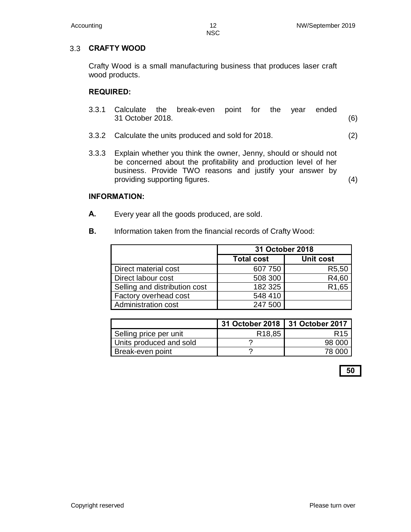#### NSC

#### 3.3 **CRAFTY WOOD**

Crafty Wood is a small manufacturing business that produces laser craft wood products.

#### **REQUIRED:**

- 3.3.1 Calculate the break-even point for the year ended 31 October 2018. (6)
- 3.3.2 Calculate the units produced and sold for 2018. (2)
- 3.3.3 Explain whether you think the owner, Jenny, should or should not be concerned about the profitability and production level of her business. Provide TWO reasons and justify your answer by providing supporting figures. (4)

#### **INFORMATION:**

- **A.** Every year all the goods produced, are sold.
- **B.** Information taken from the financial records of Crafty Wood:

|                               | 31 October 2018                |                    |  |
|-------------------------------|--------------------------------|--------------------|--|
|                               | Unit cost<br><b>Total cost</b> |                    |  |
| Direct material cost          | 607 750                        | R <sub>5</sub> ,50 |  |
| Direct labour cost            | 508 300                        | R4,60              |  |
| Selling and distribution cost | 182 325                        | R <sub>1</sub> ,65 |  |
| <b>Factory overhead cost</b>  | 548 410                        |                    |  |
| Administration cost           | 247 500                        |                    |  |

|                         | 31 October 2018   31 October 2017 |                 |
|-------------------------|-----------------------------------|-----------------|
| Selling price per unit  | R <sub>18,85</sub>                | R <sub>15</sub> |
| Units produced and sold |                                   | 98 000          |
| Break-even point        |                                   | 78.000          |

**50**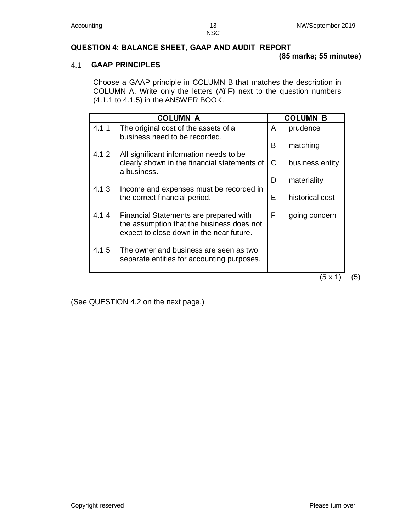## **QUESTION 4: BALANCE SHEET, GAAP AND AUDIT REPORT**

#### **(85 marks; 55 minutes)**

#### 4.1 **GAAP PRINCIPLES**

Choose a GAAP principle in COLUMN B that matches the description in COLUMN A. Write only the letters (A. F) next to the question numbers (4.1.1 to 4.1.5) in the ANSWER BOOK.

|       | <b>COLUMN A</b>                                                                                                                 |   | <b>COLUMN B</b> |
|-------|---------------------------------------------------------------------------------------------------------------------------------|---|-----------------|
| 4.1.1 | The original cost of the assets of a<br>business need to be recorded.                                                           | A | prudence        |
| 4.1.2 | All significant information needs to be                                                                                         | B | matching        |
|       | clearly shown in the financial statements of<br>a business.                                                                     | С | business entity |
|       |                                                                                                                                 | D | materiality     |
|       | 4.1.3<br>Income and expenses must be recorded in<br>the correct financial period.                                               | E | historical cost |
| 4.1.4 | Financial Statements are prepared with<br>the assumption that the business does not<br>expect to close down in the near future. | F | going concern   |
| 4.1.5 | The owner and business are seen as two<br>separate entities for accounting purposes.                                            |   |                 |
|       |                                                                                                                                 |   | (5 x 1          |

(See QUESTION 4.2 on the next page.)

 $(5)$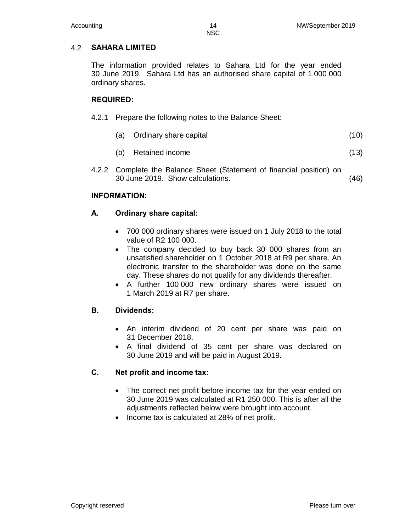#### 4.2 **SAHARA LIMITED**

The information provided relates to Sahara Ltd for the year ended 30 June 2019. Sahara Ltd has an authorised share capital of 1 000 000 ordinary shares.

#### **REQUIRED:**

| 4.2.1 Prepare the following notes to the Balance Sheet: |
|---------------------------------------------------------|
|                                                         |

- (a) Ordinary share capital (10)
- (b) Retained income (13)
- 4.2.2 Complete the Balance Sheet (Statement of financial position) on 30 June 2019. Show calculations. (46)

#### **INFORMATION:**

#### **A. Ordinary share capital:**

- · 700 000 ordinary shares were issued on 1 July 2018 to the total value of R2 100 000.
- · The company decided to buy back 30 000 shares from an unsatisfied shareholder on 1 October 2018 at R9 per share. An electronic transfer to the shareholder was done on the same day. These shares do not qualify for any dividends thereafter.
- · A further 100 000 new ordinary shares were issued on 1 March 2019 at R7 per share.

### **B. Dividends:**

- An interim dividend of 20 cent per share was paid on 31 December 2018.
- · A final dividend of 35 cent per share was declared on 30 June 2019 and will be paid in August 2019.

#### **C. Net profit and income tax:**

- The correct net profit before income tax for the year ended on 30 June 2019 was calculated at R1 250 000. This is after all the adjustments reflected below were brought into account.
- · Income tax is calculated at 28% of net profit.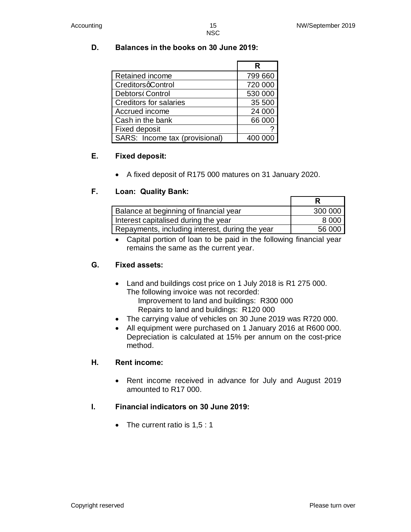#### **D. Balances in the books on 30 June 2019:**

|                                | R       |
|--------------------------------|---------|
| Retained income                | 799 660 |
| CreditorsqControl              | 720 000 |
| Debtors Control                | 530 000 |
| <b>Creditors for salaries</b>  | 35 500  |
| Accrued income                 | 24 000  |
| Cash in the bank               | 66 000  |
| <b>Fixed deposit</b>           |         |
| SARS: Income tax (provisional) |         |

#### **E. Fixed deposit:**

· A fixed deposit of R175 000 matures on 31 January 2020.

#### **F. Loan: Quality Bank:**

| Balance at beginning of financial year          | 300 000 |
|-------------------------------------------------|---------|
| Interest capitalised during the year            | 8 0 0 0 |
| Repayments, including interest, during the year | 56 000  |

· Capital portion of loan to be paid in the following financial year remains the same as the current year.

#### **G. Fixed assets:**

- Land and buildings cost price on 1 July 2018 is R1 275 000. The following invoice was not recorded: Improvement to land and buildings: R300 000
	- Repairs to land and buildings: R120 000
- · The carrying value of vehicles on 30 June 2019 was R720 000.
- · All equipment were purchased on 1 January 2016 at R600 000. Depreciation is calculated at 15% per annum on the cost-price method.

#### **H. Rent income:**

- Rent income received in advance for July and August 2019 amounted to R17 000.
- **I. Financial indicators on 30 June 2019:**
	- The current ratio is  $1,5:1$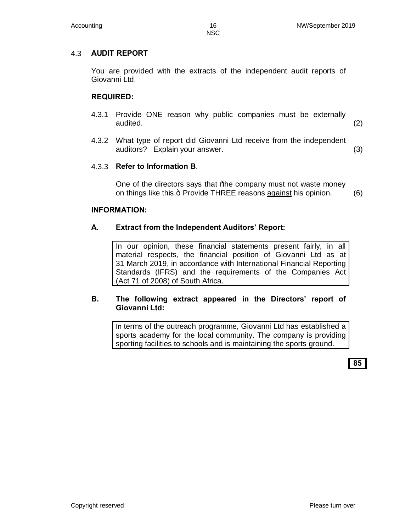#### 4.3 **AUDIT REPORT**

You are provided with the extracts of the independent audit reports of Giovanni Ltd.

#### **REQUIRED:**

- 4.3.1 Provide ONE reason why public companies must be externally audited. (2)
- 4.3.2 What type of report did Giovanni Ltd receive from the independent auditors? Explain your answer. (3)

#### 4.3.3 **Refer to Information B**.

One of the directors says that % the company must not waste money on things like this. + Provide THREE reasons against his opinion. (6)

#### **INFORMATION:**

#### **A. Extract from the Independent Auditors' Report:**

In our opinion, these financial statements present fairly, in all material respects, the financial position of Giovanni Ltd as at 31 March 2019, in accordance with International Financial Reporting Standards (IFRS) and the requirements of the Companies Act (Act 71 of 2008) of South Africa.

#### **B. The following extract appeared in the Directors' report of Giovanni Ltd:**

In terms of the outreach programme, Giovanni Ltd has established a sports academy for the local community. The company is providing sporting facilities to schools and is maintaining the sports ground.

**85**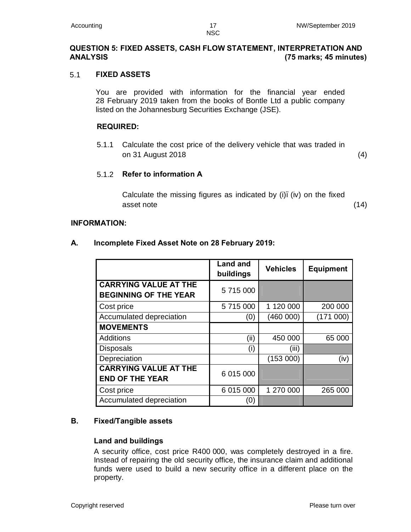#### **QUESTION 5: FIXED ASSETS, CASH FLOW STATEMENT, INTERPRETATION AND ANALYSIS (75 marks; 45 minutes)**

#### 5.1 **FIXED ASSETS**

You are provided with information for the financial year ended 28 February 2019 taken from the books of Bontle Ltd a public company listed on the Johannesburg Securities Exchange (JSE).

#### **REQUIRED:**

5.1.1 Calculate the cost price of the delivery vehicle that was traded in on 31 August 2018 (4)

#### 5.1.2 **Refer to information A**

Calculate the missing figures as indicated by  $(i)$ . (iv) on the fixed asset note (14)

#### **INFORMATION:**

|                                                              | <b>Land and</b><br>buildings | <b>Vehicles</b> | <b>Equipment</b> |
|--------------------------------------------------------------|------------------------------|-----------------|------------------|
| <b>CARRYING VALUE AT THE</b><br><b>BEGINNING OF THE YEAR</b> | 5 715 000                    |                 |                  |
| Cost price                                                   | 5 715 000                    | 1 120 000       | 200 000          |
| Accumulated depreciation                                     | (0)                          | (460 000)       | (171000)         |
| <b>MOVEMENTS</b>                                             |                              |                 |                  |
| <b>Additions</b>                                             | (ii)                         | 450 000         | 65 000           |
| Disposals                                                    | (i)                          | (iii)           |                  |
| Depreciation                                                 |                              | (153000)        | (iv)             |
| <b>CARRYING VALUE AT THE</b><br><b>END OF THE YEAR</b>       | 6 015 000                    |                 |                  |
| Cost price                                                   | 6 015 000                    | 1 270 000       | 265 000          |
| Accumulated depreciation                                     | (0)                          |                 |                  |

#### **A. Incomplete Fixed Asset Note on 28 February 2019:**

#### **B. Fixed/Tangible assets**

#### **Land and buildings**

A security office, cost price R400 000, was completely destroyed in a fire. Instead of repairing the old security office, the insurance claim and additional funds were used to build a new security office in a different place on the property.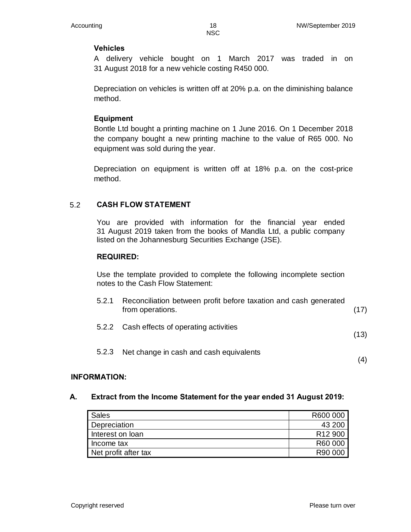#### **Vehicles**

A delivery vehicle bought on 1 March 2017 was traded in on 31 August 2018 for a new vehicle costing R450 000.

Depreciation on vehicles is written off at 20% p.a. on the diminishing balance method.

#### **Equipment**

Bontle Ltd bought a printing machine on 1 June 2016. On 1 December 2018 the company bought a new printing machine to the value of R65 000. No equipment was sold during the year.

Depreciation on equipment is written off at 18% p.a. on the cost-price method.

#### 5.2 **CASH FLOW STATEMENT**

You are provided with information for the financial year ended 31 August 2019 taken from the books of Mandla Ltd, a public company listed on the Johannesburg Securities Exchange (JSE).

#### **REQUIRED:**

Use the template provided to complete the following incomplete section notes to the Cash Flow Statement:

| 5.2.1 | Reconciliation between profit before taxation and cash generated<br>from operations. | (17) |
|-------|--------------------------------------------------------------------------------------|------|
|       | 5.2.2 Cash effects of operating activities                                           | (13) |
| 5.2.3 | Net change in cash and cash equivalents                                              |      |

#### **INFORMATION:**

#### **A. Extract from the Income Statement for the year ended 31 August 2019:**

| Sales                | R600 000            |
|----------------------|---------------------|
| <b>Depreciation</b>  | 43 200              |
| Interest on loan     | R <sub>12</sub> 900 |
| Income tax           | R60 000             |
| Net profit after tax | R90 000             |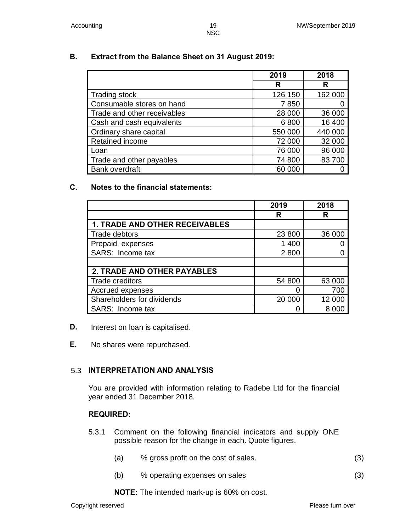#### **B. Extract from the Balance Sheet on 31 August 2019:**

|                             | 2019    | 2018    |
|-----------------------------|---------|---------|
|                             | R       | R       |
| <b>Trading stock</b>        | 126 150 | 162 000 |
| Consumable stores on hand   | 7850    |         |
| Trade and other receivables | 28 000  | 36 000  |
| Cash and cash equivalents   | 6800    | 16 400  |
| Ordinary share capital      | 550 000 | 440 000 |
| Retained income             | 72 000  | 32 000  |
| Loan                        | 76 000  | 96 000  |
| Trade and other payables    | 74 800  | 83700   |
| <b>Bank overdraft</b>       | 60 000  |         |

#### **C. Notes to the financial statements:**

|                                       | 2019   | 2018   |
|---------------------------------------|--------|--------|
|                                       | R      | R      |
| <b>1. TRADE AND OTHER RECEIVABLES</b> |        |        |
| Trade debtors                         | 23 800 | 36 000 |
| Prepaid expenses                      | 1 400  |        |
| SARS: Income tax                      | 2 800  |        |
|                                       |        |        |
| <b>2. TRADE AND OTHER PAYABLES</b>    |        |        |
| Trade creditors                       | 54 800 | 63 000 |
| Accrued expenses                      |        | 700    |
| Shareholders for dividends            | 20 000 | 12 000 |
| SARS: Income tax                      |        | 8.000  |

- **D.** Interest on loan is capitalised.
- **E.** No shares were repurchased.

#### 5.3 **INTERPRETATION AND ANALYSIS**

You are provided with information relating to Radebe Ltd for the financial year ended 31 December 2018.

#### **REQUIRED:**

- 5.3.1 Comment on the following financial indicators and supply ONE possible reason for the change in each. Quote figures.
	- (a) % gross profit on the cost of sales. (3)
	- (b) % operating expenses on sales (3)

**NOTE:** The intended mark-up is 60% on cost.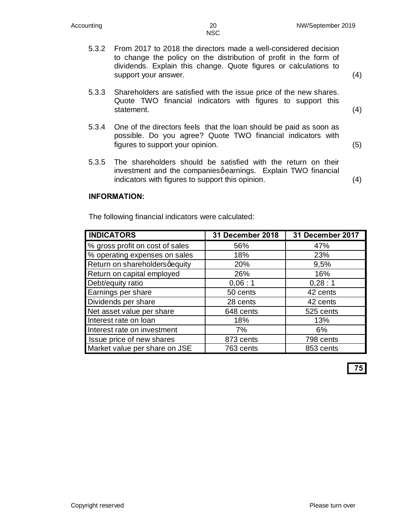(4)

(5)

- 5.3.2 From 2017 to 2018 the directors made a well-considered decision to change the policy on the distribution of profit in the form of dividends. Explain this change. Quote figures or calculations to support your answer. (4)
	- 5.3.3 Shareholders are satisfied with the issue price of the new shares. Quote TWO financial indicators with figures to support this statement.
	- 5.3.4 One of the directors feels that the loan should be paid as soon as possible. Do you agree? Quote TWO financial indicators with figures to support your opinion.
	- 5.3.5 The shareholders should be satisfied with the return on their investment and the companies qearnings. Explain TWO financial indicators with figures to support this opinion. (4)

#### **INFORMATION:**

The following financial indicators were calculated:

| <b>INDICATORS</b>               | 31 December 2018 | 31 December 2017 |
|---------------------------------|------------------|------------------|
| % gross profit on cost of sales | 56%              | 47%              |
| % operating expenses on sales   | 18%              | 23%              |
| Return on shareholdersqequity   | 20%              | 9,5%             |
| Return on capital employed      | 26%              | 16%              |
| Debt/equity ratio               | 0,06:1           | 0,28:1           |
| Earnings per share              | 50 cents         | 42 cents         |
| Dividends per share             | 28 cents         | 42 cents         |
| Net asset value per share       | 648 cents        | 525 cents        |
| Interest rate on loan           | 18%              | 13%              |
| Interest rate on investment     | 7%               | 6%               |
| Issue price of new shares       | 873 cents        | 798 cents        |
| Market value per share on JSE   | 763 cents        | 853 cents        |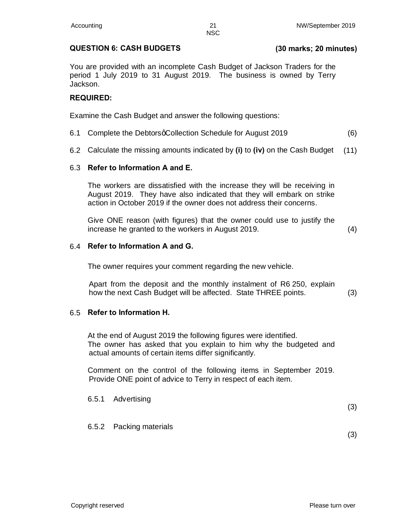#### **QUESTION 6: CASH BUDGETS (30 marks; 20 minutes)**

You are provided with an incomplete Cash Budget of Jackson Traders for the period 1 July 2019 to 31 August 2019. The business is owned by Terry Jackson.

#### **REQUIRED:**

Examine the Cash Budget and answer the following questions:

- 6.1 Complete the DebtorsqCollection Schedule for August 2019 (6)
- 6.2 Calculate the missing amounts indicated by **(i)** to **(iv)** on the Cash Budget (11)

#### 6.3 **Refer to Information A and E.**

The workers are dissatisfied with the increase they will be receiving in August 2019. They have also indicated that they will embark on strike action in October 2019 if the owner does not address their concerns.

Give ONE reason (with figures) that the owner could use to justify the increase he granted to the workers in August 2019. (4)

#### 6.4 **Refer to Information A and G.**

The owner requires your comment regarding the new vehicle.

Apart from the deposit and the monthly instalment of R6 250, explain how the next Cash Budget will be affected. State THREE points. (3)

#### 6.5 **Refer to Information H.**

At the end of August 2019 the following figures were identified. The owner has asked that you explain to him why the budgeted and actual amounts of certain items differ significantly.

Comment on the control of the following items in September 2019. Provide ONE point of advice to Terry in respect of each item.

## 6.5.1 Advertising (3) 6.5.2 Packing materials

(3)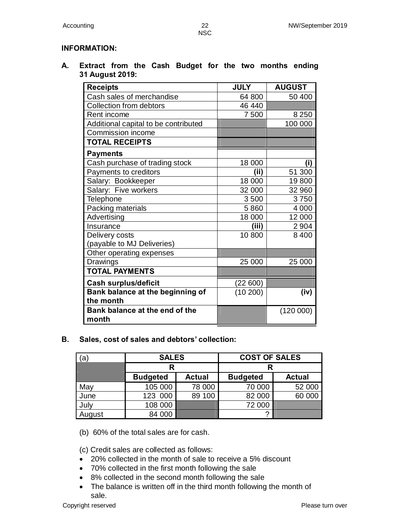NSC

#### **INFORMATION:**

**A. Extract from the Cash Budget for the two months ending 31 August 2019:**

| <b>Receipts</b>                         | <b>JULY</b> | <b>AUGUST</b> |
|-----------------------------------------|-------------|---------------|
| Cash sales of merchandise               | 64 800      | 50 400        |
| Collection from debtors                 | 46 440      |               |
| Rent income                             | 7 500       | 8 2 5 0       |
| Additional capital to be contributed    |             | 100 000       |
| Commission income                       |             |               |
| <b>TOTAL RECEIPTS</b>                   |             |               |
| <b>Payments</b>                         |             |               |
| Cash purchase of trading stock          | 18 000      | (i)           |
| Payments to creditors                   | (ii)        | 51 300        |
| Salary: Bookkeeper                      | 18 000      | 19800         |
| Salary: Five workers                    | 32 000      | 32 960        |
| <b>Telephone</b>                        | 3500        | 3750          |
| Packing materials                       | 5860        | 4 0 0 0       |
| Advertising                             | 18 000      | 12 000        |
| Insurance                               | (iii)       | 2 9 0 4       |
| Delivery costs                          | 10 800      | 8400          |
| (payable to MJ Deliveries)              |             |               |
| Other operating expenses                |             |               |
| Drawings                                | 25 000      | 25 000        |
| <b>TOTAL PAYMENTS</b>                   |             |               |
| <b>Cash surplus/deficit</b>             | (22 600)    |               |
| Bank balance at the beginning of        | (10200)     | (iv)          |
| the month                               |             |               |
| Bank balance at the end of the<br>month |             | (120000)      |

**B. Sales, cost of sales and debtors' collection:**

| (a     | <b>SALES</b>    |               | <b>COST OF SALES</b> |               |
|--------|-----------------|---------------|----------------------|---------------|
|        | R               |               |                      |               |
|        | <b>Budgeted</b> | <b>Actual</b> | <b>Budgeted</b>      | <b>Actual</b> |
| May    | 105 000         | 78 000        | 70 000               | 52 000        |
| June   | 123 000         | 89 100        | 82 000               | 60 000        |
| July   | 108 000         |               | 72 000               |               |
| August | 84 000          |               |                      |               |

(b) 60% of the total sales are for cash.

(c) Credit sales are collected as follows:

- · 20% collected in the month of sale to receive a 5% discount
- · 70% collected in the first month following the sale
- · 8% collected in the second month following the sale
- The balance is written off in the third month following the month of sale.